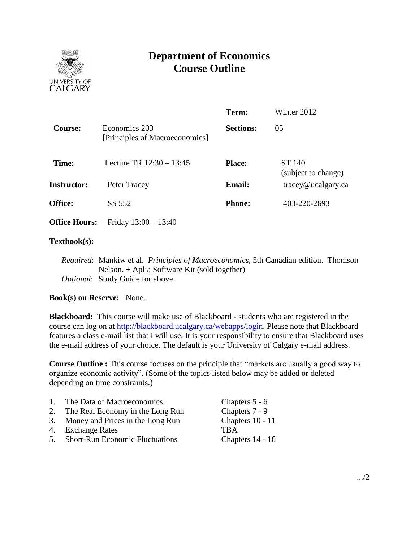

# **Department of Economics Course Outline**

|                      |                                                 | Term:            | Winter 2012                                     |
|----------------------|-------------------------------------------------|------------------|-------------------------------------------------|
| <b>Course:</b>       | Economics 203<br>[Principles of Macroeconomics] | <b>Sections:</b> | 05                                              |
| Time:                | Lecture TR $12:30 - 13:45$                      | <b>Place:</b>    | ST 140<br>(subject to change)                   |
| <b>Instructor:</b>   | Peter Tracey                                    | <b>Email:</b>    | $trace\$ <i>e</i> $u$ $c$ $a$ $g$ $arc$ $c$ $a$ |
| <b>Office:</b>       | SS 552                                          | <b>Phone:</b>    | 403-220-2693                                    |
| <b>Office Hours:</b> | Friday $13:00 - 13:40$                          |                  |                                                 |

### **Textbook(s):**

*Required*: Mankiw et al. *Principles of Macroeconomics*, 5th Canadian edition. Thomson Nelson. + Aplia Software Kit (sold together) *Optional*: Study Guide for above.

# **Book(s) on Reserve:** None.

**Blackboard:** This course will make use of Blackboard - students who are registered in the course can log on at [http://blackboard.ucalgary.ca/webapps/login.](http://blackboard.ucalgary.ca/webapps/login) Please note that Blackboard features a class e-mail list that I will use. It is your responsibility to ensure that Blackboard uses the e-mail address of your choice. The default is your University of Calgary e-mail address.

**Course Outline :** This course focuses on the principle that "markets are usually a good way to organize economic activity". (Some of the topics listed below may be added or deleted depending on time constraints.)

| $1_{-}$ | The Data of Macroeconomics          | Chapters 5 - 6   |
|---------|-------------------------------------|------------------|
| 2.      | The Real Economy in the Long Run    | Chapters 7 - 9   |
|         | 3. Money and Prices in the Long Run | Chapters 10 - 11 |
|         | 4. Exchange Rates                   | <b>TRA</b>       |
|         | 5. Short-Run Economic Fluctuations  | Chapters 14 - 16 |
|         |                                     |                  |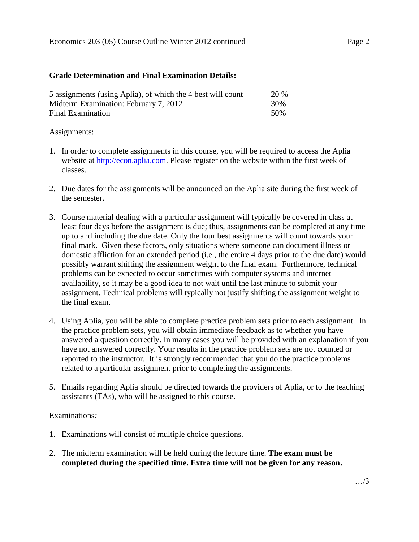### **Grade Determination and Final Examination Details:**

| 5 assignments (using Aplia), of which the 4 best will count | <b>20 %</b> |
|-------------------------------------------------------------|-------------|
| Midterm Examination: February 7, 2012                       | 30%         |
| Final Examination                                           | .50%        |

### Assignments:

- 1. In order to complete assignments in this course, you will be required to access the Aplia website at [http://econ.aplia.com.](http://econ.aplia.com/) Please register on the website within the first week of classes.
- 2. Due dates for the assignments will be announced on the Aplia site during the first week of the semester.
- 3. Course material dealing with a particular assignment will typically be covered in class at least four days before the assignment is due; thus, assignments can be completed at any time up to and including the due date. Only the four best assignments will count towards your final mark. Given these factors, only situations where someone can document illness or domestic affliction for an extended period (i.e., the entire 4 days prior to the due date) would possibly warrant shifting the assignment weight to the final exam. Furthermore, technical problems can be expected to occur sometimes with computer systems and internet availability, so it may be a good idea to not wait until the last minute to submit your assignment. Technical problems will typically not justify shifting the assignment weight to the final exam.
- 4. Using Aplia, you will be able to complete practice problem sets prior to each assignment. In the practice problem sets, you will obtain immediate feedback as to whether you have answered a question correctly. In many cases you will be provided with an explanation if you have not answered correctly. Your results in the practice problem sets are not counted or reported to the instructor. It is strongly recommended that you do the practice problems related to a particular assignment prior to completing the assignments.
- 5. Emails regarding Aplia should be directed towards the providers of Aplia, or to the teaching assistants (TAs), who will be assigned to this course.

# Examinations*:*

- 1. Examinations will consist of multiple choice questions.
- 2. The midterm examination will be held during the lecture time. **The exam must be completed during the specified time. Extra time will not be given for any reason.**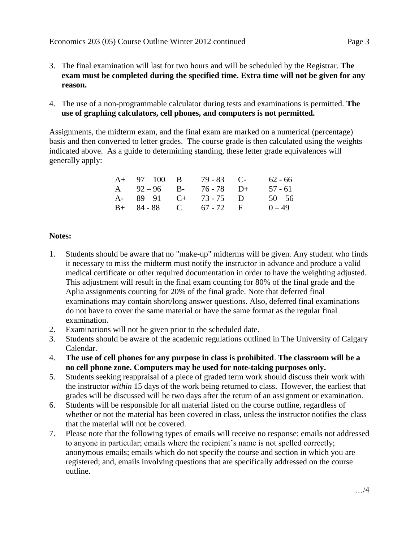- 3. The final examination will last for two hours and will be scheduled by the Registrar. **The exam must be completed during the specified time. Extra time will not be given for any reason.**
- 4. The use of a non-programmable calculator during tests and examinations is permitted. **The use of graphing calculators, cell phones, and computers is not permitted.**

Assignments, the midterm exam, and the final exam are marked on a numerical (percentage) basis and then converted to letter grades. The course grade is then calculated using the weights indicated above. As a guide to determining standing, these letter grade equivalences will generally apply:

| $A+ 97-100 B$          | $79 - 83$ C- | 62 - 66   |
|------------------------|--------------|-----------|
| A $92-96$ B-           | 76 - 78 D+   | $57 - 61$ |
| A- $89-91$ C+ 73-75 D  |              | $50 - 56$ |
| $B+ 84-88$ C 67 - 72 F |              | $0 - 49$  |

# **Notes:**

- 1. Students should be aware that no "make-up" midterms will be given. Any student who finds it necessary to miss the midterm must notify the instructor in advance and produce a valid medical certificate or other required documentation in order to have the weighting adjusted. This adjustment will result in the final exam counting for 80% of the final grade and the Aplia assignments counting for 20% of the final grade. Note that deferred final examinations may contain short/long answer questions. Also, deferred final examinations do not have to cover the same material or have the same format as the regular final examination.
- 2. Examinations will not be given prior to the scheduled date.
- 3. Students should be aware of the academic regulations outlined in The University of Calgary Calendar.
- 4. **The use of cell phones for any purpose in class is prohibited**. **The classroom will be a no cell phone zone. Computers may be used for note-taking purposes only.**
- 5. Students seeking reappraisal of a piece of graded term work should discuss their work with the instructor *within* 15 days of the work being returned to class. However, the earliest that grades will be discussed will be two days after the return of an assignment or examination.
- 6. Students will be responsible for all material listed on the course outline, regardless of whether or not the material has been covered in class, unless the instructor notifies the class that the material will not be covered.
- 7. Please note that the following types of emails will receive no response: emails not addressed to anyone in particular; emails where the recipient's name is not spelled correctly; anonymous emails; emails which do not specify the course and section in which you are registered; and, emails involving questions that are specifically addressed on the course outline.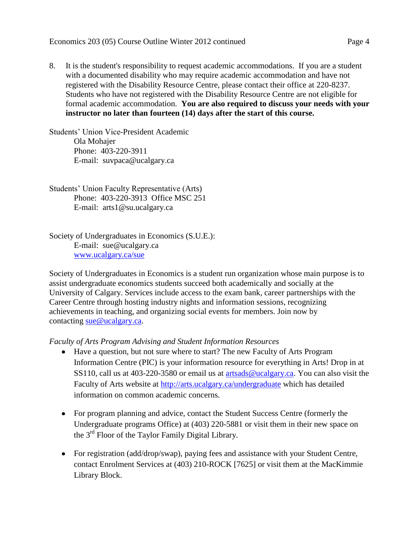8. It is the student's responsibility to request academic accommodations. If you are a student with a documented disability who may require academic accommodation and have not registered with the Disability Resource Centre, please contact their office at 220-8237. Students who have not registered with the Disability Resource Centre are not eligible for formal academic accommodation. **You are also required to discuss your needs with your instructor no later than fourteen (14) days after the start of this course.**

Students' Union Vice-President Academic Ola Mohajer Phone: 403-220-3911 E-mail: suvpaca@ucalgary.ca

Students' Union Faculty Representative (Arts) Phone: 403-220-3913 Office MSC 251 E-mail: arts1@su.ucalgary.ca

Society of Undergraduates in Economics (S.U.E.): E-mail: sue@ucalgary.ca [www.ucalgary.ca/sue](http://www.ucalgary.ca/sue)

Society of Undergraduates in Economics is a student run organization whose main purpose is to assist undergraduate economics students succeed both academically and socially at the University of Calgary. Services include access to the exam bank, career partnerships with the Career Centre through hosting industry nights and information sessions, recognizing achievements in teaching, and organizing social events for members. Join now by contacting [sue@ucalgary.ca.](mailto:sue@ucalgary.ca)

*Faculty of Arts Program Advising and Student Information Resources*

- Have a question, but not sure where to start? The new Faculty of Arts Program Information Centre (PIC) is your information resource for everything in Arts! Drop in at SS110, call us at 403-220-3580 or email us at [artsads@ucalgary.ca.](mailto:artsads@ucalgary.ca) You can also visit the Faculty of Arts website at<http://arts.ucalgary.ca/undergraduate> which has detailed information on common academic concerns.
- For program planning and advice, contact the Student Success Centre (formerly the Undergraduate programs Office) at (403) 220-5881 or visit them in their new space on the 3rd Floor of the Taylor Family Digital Library.
- For registration (add/drop/swap), paying fees and assistance with your Student Centre, contact Enrolment Services at (403) 210-ROCK [7625] or visit them at the MacKimmie Library Block.